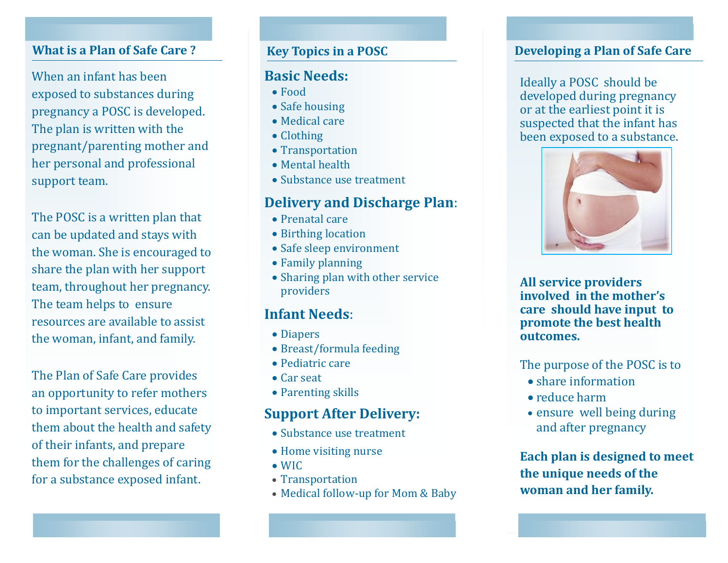When an infant has been exposed to substances during pregnancy a POSC is developed. The plan is written with the pregnant/parenting mother and her personal and professional support team.

The POSC is a written plan that can be updated and stays with the woman. She is encouraged to share the plan with her support team, throughout her pregnancy. The team helps to ensure resources are available to assist the woman, infant, and family.

The Plan of Safe Care provides an opportunity to refer mothers to important services, educate them about the health and safety of their infants, and prepare them for the challenges of caring for a substance exposed infant.

## **Key Topics in a POSC**

### **Basic Needs:**

- Food
- Safe housing
- Medical care
- Clothing
- Transportation
- Mental health
- Substance use treatment

# **Delivery and Discharge Plan**:

- Prenatal care
- Birthing location
- Safe sleep environment
- Family planning
- Sharing plan with other service providers

# **Infant Needs**:

- Diapers
- Breast/formula feeding
- Pediatric care
- Car seat
- Parenting skills

# **Support After Delivery:**

- Substance use treatment
- Home visiting nurse
- WIC
- Transportation
- Medical follow-up for Mom & Baby

## **What is a Plan of Safe Care ?** *Developing a Plan of Safe Care Developing a Plan of Safe Care*

Ideally a POSC should be developed during pregnancy or at the earliest point it is suspected that the infant has been exposed to a substance.



**All service providers involved in the mother's care should have input to promote the best health outcomes.** 

The purpose of the POSC is to

- $\bullet$  share information
- reduce harm
- ensure well being during and after pregnancy

**Each plan is designed to meet the unique needs of the woman and her family.**